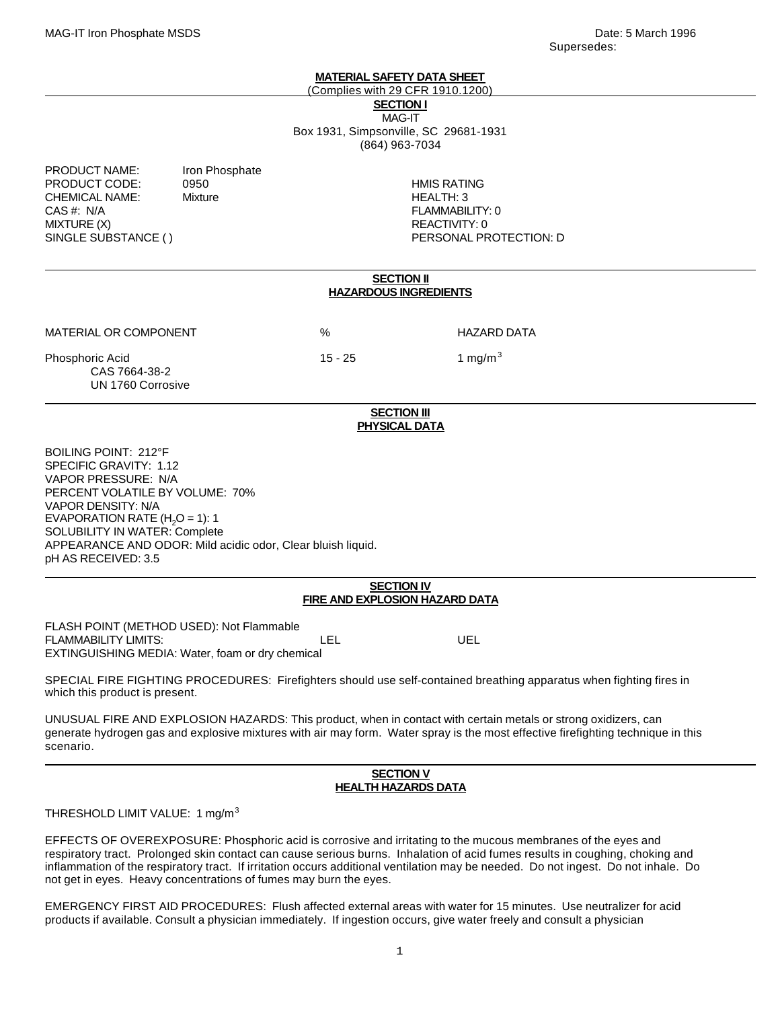#### **MATERIAL SAFETY DATA SHEET**

(Complies with 29 CFR 1910.1200)

**SECTION I** MAG-IT Box 1931, Simpsonville, SC 29681-1931 (864) 963-7034

PRODUCT NAME: Iron Phosphate PRODUCT CODE: 0950 HMIS RATING CHEMICAL NAME: Mixture Mixture HEALTH: 3 CAS #: N/A FLAMMABILITY: 0 MIXTURE (X) 8 AM AND THE CONTROL OF THE CONTROL OF THE CONTROL OF THE CONTROL OF THE CONTROL OF THE CONTROL OF THE CONTROL OF THE CONTROL OF THE CONTROL OF THE CONTROL OF THE CONTROL OF THE CONTROL OF THE CONTROL OF THE CO SINGLE SUBSTANCE ( ) THE RESONAL PROTECTION: D

#### **SECTION II HAZARDOUS INGREDIENTS**

MATERIAL OR COMPONENT % HAZARD DATA

Phosphoric Acid 15 - 25 1 mg/m<sup>3</sup> CAS 7664-38-2 UN 1760 Corrosive

#### **SECTION III PHYSICAL DATA**

BOILING POINT: 212°F SPECIFIC GRAVITY: 1.12 VAPOR PRESSURE: N/A PERCENT VOLATILE BY VOLUME: 70% VAPOR DENSITY: N/A EVAPORATION RATE  $(H<sub>2</sub>O = 1)$ : 1 SOLUBILITY IN WATER: Complete APPEARANCE AND ODOR: Mild acidic odor, Clear bluish liquid. pH AS RECEIVED: 3.5

# **SECTION IV FIRE AND EXPLOSION HAZARD DATA**

FLASH POINT (METHOD USED): Not Flammable **FLAMMABILITY LIMITS:** The Contract of the Contract LEL Contract UEL CONTRACT UNITS: EXTINGUISHING MEDIA: Water, foam or dry chemical

SPECIAL FIRE FIGHTING PROCEDURES: Firefighters should use self-contained breathing apparatus when fighting fires in which this product is present.

UNUSUAL FIRE AND EXPLOSION HAZARDS: This product, when in contact with certain metals or strong oxidizers, can generate hydrogen gas and explosive mixtures with air may form. Water spray is the most effective firefighting technique in this scenario.

# **SECTION V HEALTH HAZARDS DATA**

THRESHOLD LIMIT VALUE: 1 mg/m<sup>3</sup>

EFFECTS OF OVEREXPOSURE: Phosphoric acid is corrosive and irritating to the mucous membranes of the eyes and respiratory tract. Prolonged skin contact can cause serious burns. Inhalation of acid fumes results in coughing, choking and inflammation of the respiratory tract. If irritation occurs additional ventilation may be needed. Do not ingest. Do not inhale. Do not get in eyes. Heavy concentrations of fumes may burn the eyes.

EMERGENCY FIRST AID PROCEDURES: Flush affected external areas with water for 15 minutes. Use neutralizer for acid products if available. Consult a physician immediately. If ingestion occurs, give water freely and consult a physician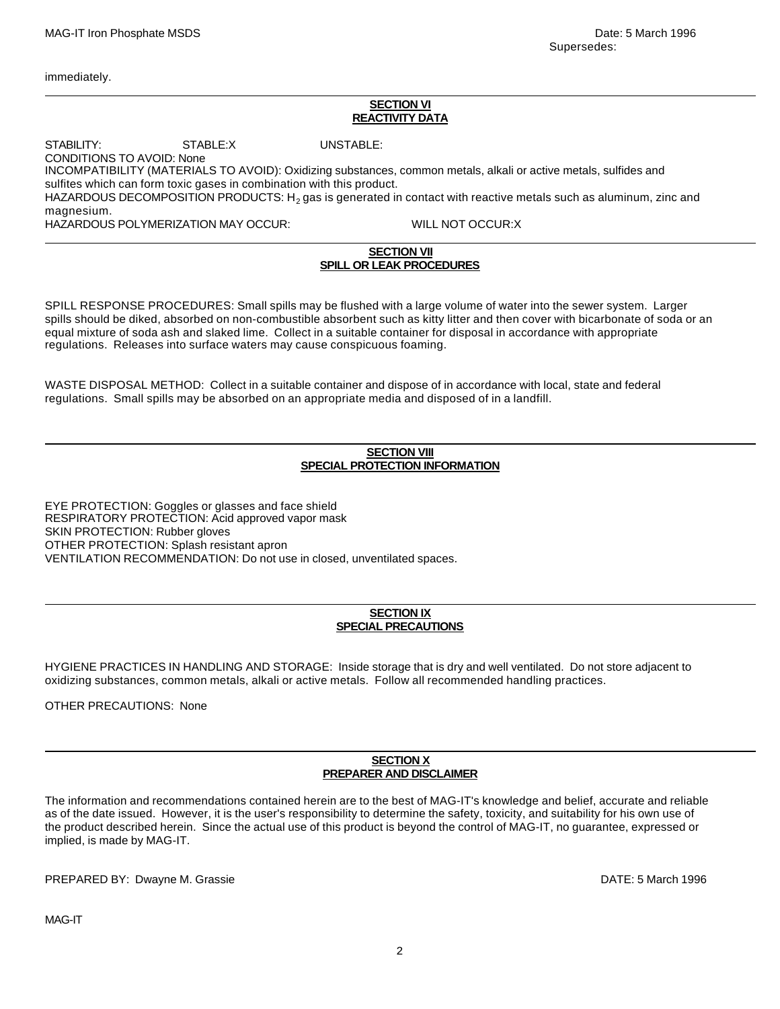immediately.

#### **SECTION VI REACTIVITY DATA**

STABILITY: STABLE:X UNSTABLE: CONDITIONS TO AVOID: None INCOMPATIBILITY (MATERIALS TO AVOID): Oxidizing substances, common metals, alkali or active metals, sulfides and sulfites which can form toxic gases in combination with this product. HAZARDOUS DECOMPOSITION PRODUCTS: H $_2$  gas is generated in contact with reactive metals such as aluminum, zinc and magnesium. HAZARDOUS POLYMERIZATION MAY OCCUR: WILL NOT OCCUR:X

# **SECTION VII SPILL OR LEAK PROCEDURES**

SPILL RESPONSE PROCEDURES: Small spills may be flushed with a large volume of water into the sewer system. Larger spills should be diked, absorbed on non-combustible absorbent such as kitty litter and then cover with bicarbonate of soda or an equal mixture of soda ash and slaked lime. Collect in a suitable container for disposal in accordance with appropriate regulations. Releases into surface waters may cause conspicuous foaming.

WASTE DISPOSAL METHOD: Collect in a suitable container and dispose of in accordance with local, state and federal regulations. Small spills may be absorbed on an appropriate media and disposed of in a landfill.

# **SECTION VIII SPECIAL PROTECTION INFORMATION**

EYE PROTECTION: Goggles or glasses and face shield RESPIRATORY PROTECTION: Acid approved vapor mask SKIN PROTECTION: Rubber gloves OTHER PROTECTION: Splash resistant apron VENTILATION RECOMMENDATION: Do not use in closed, unventilated spaces.

# **SECTION IX SPECIAL PRECAUTIONS**

HYGIENE PRACTICES IN HANDLING AND STORAGE: Inside storage that is dry and well ventilated. Do not store adjacent to oxidizing substances, common metals, alkali or active metals. Follow all recommended handling practices.

OTHER PRECAUTIONS: None

# **SECTION X PREPARER AND DISCLAIMER**

The information and recommendations contained herein are to the best of MAG-IT's knowledge and belief, accurate and reliable as of the date issued. However, it is the user's responsibility to determine the safety, toxicity, and suitability for his own use of the product described herein. Since the actual use of this product is beyond the control of MAG-IT, no guarantee, expressed or implied, is made by MAG-IT.

PREPARED BY: Dwayne M. Grassie DATE: 5 March 1996

MAG-IT